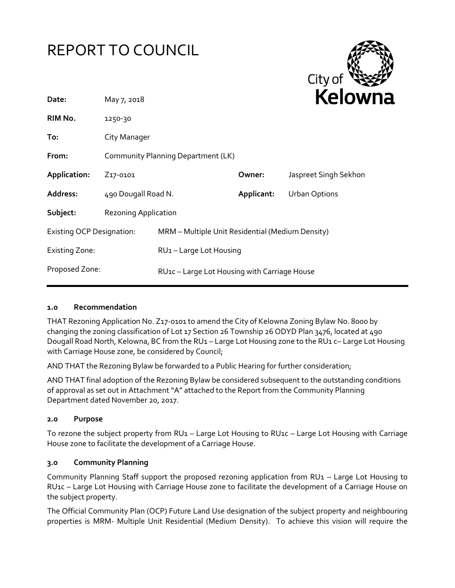



| May 7, 2018                                                    |                                                  |                     | <b>Kelow</b>          |
|----------------------------------------------------------------|--------------------------------------------------|---------------------|-----------------------|
| 1250-30                                                        |                                                  |                     |                       |
| City Manager                                                   |                                                  |                     |                       |
| Community Planning Department (LK)                             |                                                  |                     |                       |
| Z <sub>17</sub> -0101                                          |                                                  | Owner:              | Jaspreet Singh Sekhon |
|                                                                |                                                  | Applicant:          | <b>Urban Options</b>  |
| <b>Rezoning Application</b>                                    |                                                  |                     |                       |
| <b>Existing OCP Designation:</b>                               | MRM - Multiple Unit Residential (Medium Density) |                     |                       |
|                                                                |                                                  |                     |                       |
| Proposed Zone:<br>RU1c - Large Lot Housing with Carriage House |                                                  |                     |                       |
|                                                                |                                                  | 490 Dougall Road N. | RU1-Large Lot Housing |

### **1.0 Recommendation**

THAT Rezoning Application No. Z17-0101 to amend the City of Kelowna Zoning Bylaw No. 8000 by changing the zoning classification of Lot 17 Section 26 Township 26 ODYD Plan 3476, located at 490 Dougall Road North, Kelowna, BC from the RU1 – Large Lot Housing zone to the RU1 c– Large Lot Housing with Carriage House zone, be considered by Council;

AND THAT the Rezoning Bylaw be forwarded to a Public Hearing for further consideration;

AND THAT final adoption of the Rezoning Bylaw be considered subsequent to the outstanding conditions of approval as set out in Attachment "A" attached to the Report from the Community Planning Department dated November 20, 2017.

#### **2.0 Purpose**

To rezone the subject property from RU1 – Large Lot Housing to RU1c – Large Lot Housing with Carriage House zone to facilitate the development of a Carriage House.

#### **3.0 Community Planning**

Community Planning Staff support the proposed rezoning application from RU1 – Large Lot Housing to RU1c – Large Lot Housing with Carriage House zone to facilitate the development of a Carriage House on the subject property.

The Official Community Plan (OCP) Future Land Use designation of the subject property and neighbouring properties is MRM- Multiple Unit Residential (Medium Density). To achieve this vision will require the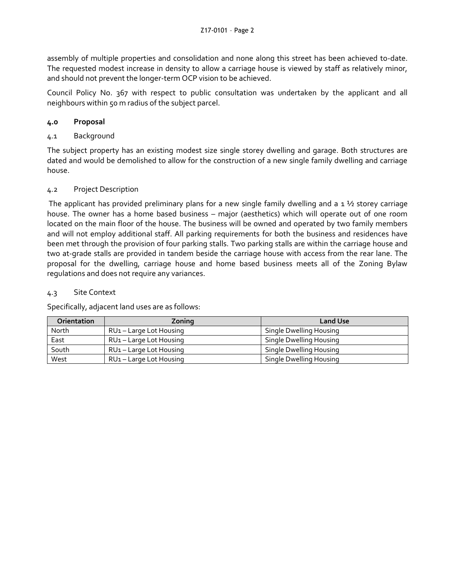assembly of multiple properties and consolidation and none along this street has been achieved to-date. The requested modest increase in density to allow a carriage house is viewed by staff as relatively minor, and should not prevent the longer-term OCP vision to be achieved.

Council Policy No. 367 with respect to public consultation was undertaken by the applicant and all neighbours within 50 m radius of the subject parcel.

# **4.0 Proposal**

# 4.1 Background

The subject property has an existing modest size single storey dwelling and garage. Both structures are dated and would be demolished to allow for the construction of a new single family dwelling and carriage house.

# 4.2 Project Description

The applicant has provided preliminary plans for a new single family dwelling and a  $1\frac{1}{2}$  storey carriage house. The owner has a home based business – major (aesthetics) which will operate out of one room located on the main floor of the house. The business will be owned and operated by two family members and will not employ additional staff. All parking requirements for both the business and residences have been met through the provision of four parking stalls. Two parking stalls are within the carriage house and two at-grade stalls are provided in tandem beside the carriage house with access from the rear lane. The proposal for the dwelling, carriage house and home based business meets all of the Zoning Bylaw regulations and does not require any variances.

### 4.3 Site Context

Specifically, adjacent land uses are as follows:

| <b>Orientation</b> | Zoning                              | <b>Land Use</b>         |
|--------------------|-------------------------------------|-------------------------|
| North              | RU <sub>1</sub> – Large Lot Housing | Single Dwelling Housing |
| East               | RU1 – Large Lot Housing             | Single Dwelling Housing |
| South              | RU1 – Large Lot Housing             | Single Dwelling Housing |
| West               | RU <sub>1</sub> – Large Lot Housing | Single Dwelling Housing |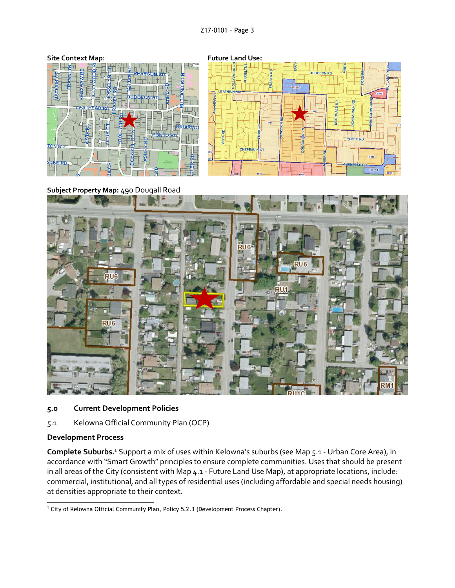

- **5.0 Current Development Policies**
- 5.1 Kelowna Official Community Plan (OCP)

#### **Development Process**

**Complete Suburbs.**<sup>1</sup> Support a mix of uses within Kelowna's suburbs (see Map 5.1 - Urban Core Area), in accordance with "Smart Growth" principles to ensure complete communities. Uses that should be present in all areas of the City (consistent with Map 4.1 - Future Land Use Map), at appropriate locations, include: commercial, institutional, and all types of residential uses (including affordable and special needs housing) at densities appropriate to their context.

<sup>-</sup><sup>1</sup> City of Kelowna Official Community Plan, Policy 5.2.3 (Development Process Chapter).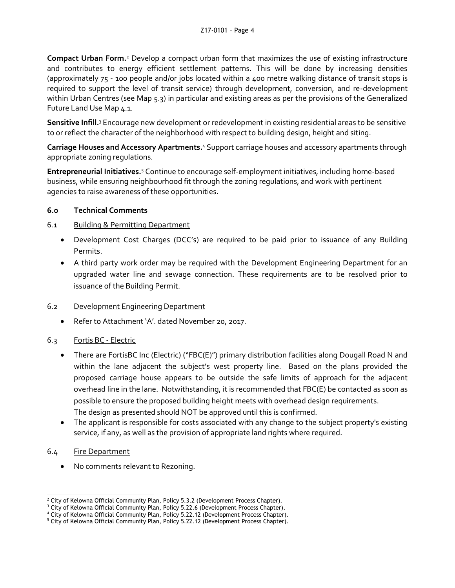**Compact Urban Form.**<sup>2</sup> Develop a compact urban form that maximizes the use of existing infrastructure and contributes to energy efficient settlement patterns. This will be done by increasing densities (approximately 75 - 100 people and/or jobs located within a 400 metre walking distance of transit stops is required to support the level of transit service) through development, conversion, and re-development within Urban Centres (see Map 5.3) in particular and existing areas as per the provisions of the Generalized Future Land Use Map 4.1.

**Sensitive Infill.**<sup>3</sup> Encourage new development or redevelopment in existing residential areas to be sensitive to or reflect the character of the neighborhood with respect to building design, height and siting.

Carriage Houses and Accessory Apartments.<sup>4</sup> Support carriage houses and accessory apartments through appropriate zoning regulations.

**Entrepreneurial Initiatives.**<sup>5</sup> Continue to encourage self-employment initiatives, including home-based business, while ensuring neighbourhood fit through the zoning regulations, and work with pertinent agencies to raise awareness of these opportunities.

# **6.0 Technical Comments**

# 6.1 Building & Permitting Department

- Development Cost Charges (DCC's) are required to be paid prior to issuance of any Building Permits.
- A third party work order may be required with the Development Engineering Department for an upgraded water line and sewage connection. These requirements are to be resolved prior to issuance of the Building Permit.

# 6.2 Development Engineering Department

Refer to Attachment 'A'. dated November 20, 2017.

# 6.3 Fortis BC - Electric

- There are FortisBC Inc (Electric) ("FBC(E)") primary distribution facilities along Dougall Road N and within the lane adjacent the subject's west property line. Based on the plans provided the proposed carriage house appears to be outside the safe limits of approach for the adjacent overhead line in the lane. Notwithstanding, it is recommended that FBC(E) be contacted as soon as possible to ensure the proposed building height meets with overhead design requirements. The design as presented should NOT be approved until this is confirmed.
- The applicant is responsible for costs associated with any change to the subject property's existing service, if any, as well as the provision of appropriate land rights where required.

# 6.4 Fire Department

No comments relevant to Rezoning.

<sup>-</sup><sup>2</sup> City of Kelowna Official Community Plan, Policy 5.3.2 (Development Process Chapter).

<sup>&</sup>lt;sup>3</sup> City of Kelowna Official Community Plan, Policy 5.22.6 (Development Process Chapter).

<sup>4</sup> City of Kelowna Official Community Plan, Policy 5.22.12 (Development Process Chapter).

<sup>&</sup>lt;sup>5</sup> City of Kelowna Official Community Plan, Policy 5.22.12 (Development Process Chapter).